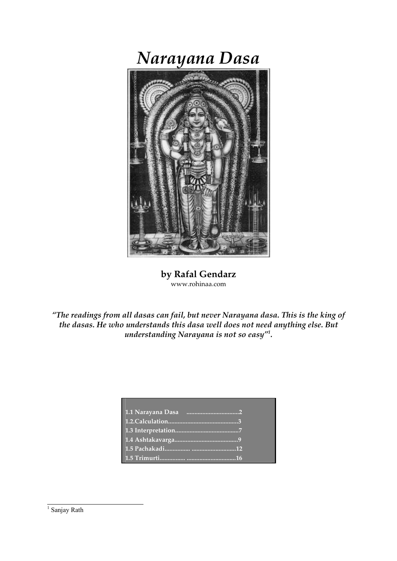# Narayana Dasa



by Rafal Gendarz www.rohinaa.com

"The readings from all dasas can fail, but never Narayana dasa. This is the king of the dasas. He who understands this dasa well does not need anything else. But understanding Narayana is not so easy"<sup>1</sup> .

<sup>&</sup>lt;sup>1</sup> Sanjay Rath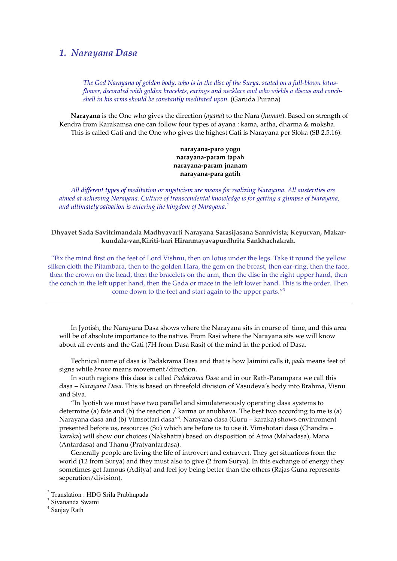#### 1. Narayana Dasa

The God Narayana of golden body, who is in the disc of the Surya, seated on a full-blown lotusflower, decorated with golden bracelets, earings and necklace and who wields a discus and conchshell in his arms should be constantly meditated upon. (Garuda Purana)

Narayana is the One who gives the direction (ayana) to the Nara (human). Based on strength of Kendra from Karakamsa one can follow four types of ayana : kama, artha, dharma & moksha. This is called Gati and the One who gives the highest Gati is Narayana per Sloka (SB 2.5.16):

> narayana-paro yogo narayana-param tapah narayana-param jnanam narayana-para gatih

All different types of meditation or mysticism are means for realizing Narayana. All austerities are aimed at achieving Narayana. Culture of transcendental knowledge is for getting a glimpse of Narayana, and ultimately salvation is entering the kingdom of Narayana.<sup>2</sup>

#### Dhyayet Sada Savitrimandala Madhyavarti Narayana Sarasijasana Sannivista; Keyurvan, Makarkundala-van,Kiriti-hari Hiranmayavapurdhrita Sankhachakrah.

"Fix the mind first on the feet of Lord Vishnu, then on lotus under the legs. Take it round the yellow silken cloth the Pitambara, then to the golden Hara, the gem on the breast, then ear-ring, then the face, then the crown on the head, then the bracelets on the arm, then the disc in the right upper hand, then the conch in the left upper hand, then the Gada or mace in the left lower hand. This is the order. Then come down to the feet and start again to the upper parts."<sup>3</sup>

In Jyotish, the Narayana Dasa shows where the Narayana sits in course of time, and this area will be of absolute importance to the native. From Rasi where the Narayana sits we will know about all events and the Gati (7H from Dasa Rasi) of the mind in the period of Dasa.

Technical name of dasa is Padakrama Dasa and that is how Jaimini calls it, *pada* means feet of signs while krama means movement/direction.

In south regions this dasa is called Padakrama Dasa and in our Rath-Parampara we call this dasa – Narayana Dasa. This is based on threefold division of Vasudeva's body into Brahma, Visnu and Siva.

"In Jyotish we must have two parallel and simulateneously operating dasa systems to determine (a) fate and (b) the reaction / karma or anubhava. The best two according to me is (a) Narayana dasa and (b) Vimsottari dasa″<sup>4</sup>. Narayana dasa (Guru – karaka) shows envinroment presented before us, resources (Su) which are before us to use it. Vimshotari dasa (Chandra – karaka) will show our choices (Nakshatra) based on disposition of Atma (Mahadasa), Mana (Antardasa) and Thanu (Pratyantardasa).

Generally people are living the life of introvert and extravert. They get situations from the world (12 from Surya) and they must also to give (2 from Surya). In this exchange of energy they sometimes get famous (Aditya) and feel joy being better than the others (Rajas Guna represents seperation/division).

 2 Translation : HDG Srila Prabhupada

<sup>&</sup>lt;sup>3</sup> Sivananda Swami

<sup>4</sup> Sanjay Rath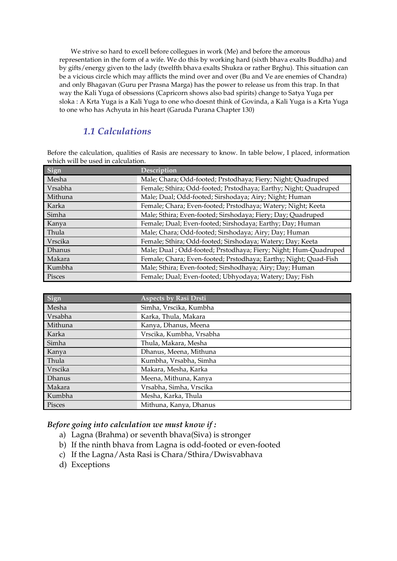We strive so hard to excell before collegues in work (Me) and before the amorous representation in the form of a wife. We do this by working hard (sixth bhava exalts Buddha) and by gifts/energy given to the lady (twelfth bhava exalts Shukra or rather Brghu). This situation can be a vicious circle which may afflicts the mind over and over (Bu and Ve are enemies of Chandra) and only Bhagavan (Guru per Prasna Marga) has the power to release us from this trap. In that way the Kali Yuga of obsessions (Capricorn shows also bad spirits) change to Satya Yuga per sloka : A Krta Yuga is a Kali Yuga to one who doesnt think of Govinda, a Kali Yuga is a Krta Yuga to one who has Achyuta in his heart (Garuda Purana Chapter 130)

# 1.1 Calculations

Before the calculation, qualities of Rasis are necessary to know. In table below, I placed, information which will be used in calculation.

| Sign          | Description                                                      |
|---------------|------------------------------------------------------------------|
| Mesha         | Male; Chara; Odd-footed; Prstodhaya; Fiery; Night; Quadruped     |
| Vrsabha       | Female; Sthira; Odd-footed; Prstodhaya; Earthy; Night; Quadruped |
| Mithuna       | Male; Dual; Odd-footed; Sirshodaya; Airy; Night; Human           |
| Karka         | Female; Chara; Even-footed; Prstodhaya; Watery; Night; Keeta     |
| Simha         | Male; Sthira; Even-footed; Sirshodaya; Fiery; Day; Quadruped     |
| Kanya         | Female; Dual; Even-footed; Sirshodaya; Earthy; Day; Human        |
| Thula         | Male; Chara; Odd-footed; Sirshodaya; Airy; Day; Human            |
| Vrscika       | Female; Sthira; Odd-footed; Sirshodaya; Watery; Day; Keeta       |
| <b>Dhanus</b> | Male; Dual ; Odd-footed; Prstodhaya; Fiery; Night; Hum-Quadruped |
| Makara        | Female; Chara; Even-footed; Prstodhaya; Earthy; Night; Quad-Fish |
| Kumbha        | Male; Sthira; Even-footed; Sirshodhaya; Airy; Day; Human         |
| Pisces        | Female; Dual; Even-footed; Ubhyodaya; Watery; Day; Fish          |

| Sign           | <b>Aspects by Rasi Drsti</b> |
|----------------|------------------------------|
| Mesha          | Simha, Vrscika, Kumbha       |
| Vrsabha        | Karka, Thula, Makara         |
| Mithuna        | Kanya, Dhanus, Meena         |
| Karka          | Vrscika, Kumbha, Vrsabha     |
| Simha          | Thula, Makara, Mesha         |
| Kanya          | Dhanus, Meena, Mithuna       |
| Thula          | Kumbha, Vrsabha, Simha       |
| <b>Vrscika</b> | Makara, Mesha, Karka         |
| <b>Dhanus</b>  | Meena, Mithuna, Kanya        |
| Makara         | Vrsabha, Simha, Vrscika      |
| Kumbha         | Mesha, Karka, Thula          |
| Pisces         | Mithuna, Kanya, Dhanus       |

#### Before going into calculation we must know if :

- a) Lagna (Brahma) or seventh bhava(Siva) is stronger
- b) If the ninth bhava from Lagna is odd-footed or even-footed
- c) If the Lagna/Asta Rasi is Chara/Sthira/Dwisvabhava
- d) Exceptions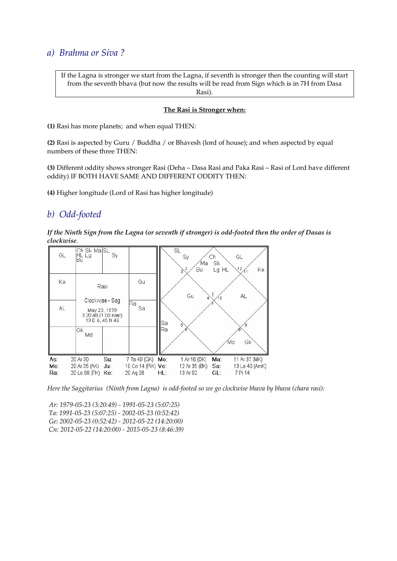## a) Brahma or Siva ?

If the Lagna is stronger we start from the Lagna, if seventh is stronger then the counting will start from the seventh bhava (but now the results will be read from Sign which is in 7H from Dasa Rasi).

#### The Rasi is Stronger when:

(1) Rasi has more planets; and when equal THEN:

(2) Rasi is aspected by Guru / Buddha / or Bhavesh (lord of house); and when aspected by equal numbers of these three THEN:

(3) Different oddity shows stronger Rasi (Deha – Dasa Rasi and Paka Rasi – Rasi of Lord have different oddity) IF BOTH HAVE SAME AND DIFFERENT ODDITY THEN:

(4) Higher longitude (Lord of Rasi has higher longitude)

# b) Odd-footed

If the Ninth Sign from the Lagna (or seventh if stronger) is odd-footed then the order of Dasas is clockwise.



Here the Saggitarius (Ninth from Lagna) is odd-footed so we go clockwise bhava by bhava (chara rasi):

 Ar: 1979-05-23 (3:20:49) - 1991-05-23 (5:07:25) Ta: 1991-05-23 (5:07:25) - 2002-05-23 (0:52:42) Ge: 2002-05-23 (0:52:42) - 2012-05-22 (14:20:00) Cn: 2012-05-22 (14:20:00) - 2015-05-23 (8:46:39)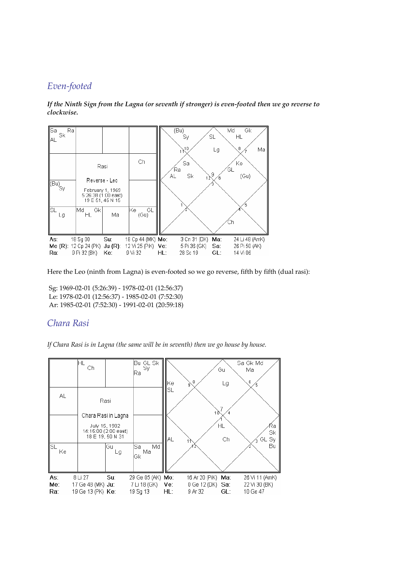# Even-footed



If the Ninth Sign from the Lagna (or seventh if stronger) is even-footed then we go reverse to clockwise.

Here the Leo (ninth from Lagna) is even-footed so we go reverse, fifth by fifth (dual rasi):

 Sg: 1969-02-01 (5:26:39) - 1978-02-01 (12:56:37) Le: 1978-02-01 (12:56:37) - 1985-02-01 (7:52:30) Ar: 1985-02-01 (7:52:30) - 1991-02-01 (20:59:18)

# Chara Rasi

If Chara Rasi is in Lagna (the same will be in seventh) then we go house by house.

|           | ΗL                        |                      | $Bu$ GL Sk<br>$Sy$       |      |                    |     | Sa Gk Md       |
|-----------|---------------------------|----------------------|--------------------------|------|--------------------|-----|----------------|
|           | Ch                        |                      | Ra                       |      |                    | Gu  | Ma             |
|           |                           |                      |                          | lKe∶ | 8<br>g             | Lg  | 6              |
| AL.       |                           |                      |                          | SL   |                    |     |                |
|           |                           | Rasi                 |                          |      |                    |     |                |
|           |                           | Chara Rasi in Lagna  |                          |      | 10                 |     |                |
|           |                           | July 15, 1982        |                          |      |                    | ΗL  |                |
|           |                           | 14:15:00 (2:00 east) |                          |      |                    |     | Ra<br>Sk       |
|           |                           | 18 E 19, 50 N 31     |                          | AL   |                    | Ch  | GL Sy          |
| lsl<br>Ke |                           | Gu<br>Lg             | Md<br>Sa<br>Ma           |      |                    |     | Bu             |
|           |                           |                      | Gk                       |      |                    |     |                |
|           |                           |                      |                          |      |                    |     |                |
| As:       | 8 Li 27                   | Su:                  | 29 Ge 05 (AK) Mo:        |      | 16 Ar 20 (PiK) Ma: |     | 26 Vi 11 (AmK) |
| Me:       | 17 Ge 48 (MK) <b>Ju</b> : |                      | 7 Li 18 (GK) <b>Ve</b> : |      | 0 Ge 12 (DK) Sa:   |     | 22 Vi 30 (BK)  |
| Ra:       | 19 Ge 13 (PK) Ke:         |                      | 19 Sq 13                 | HL:  | 9 Ar 32            | GL: | 10 Ge 47       |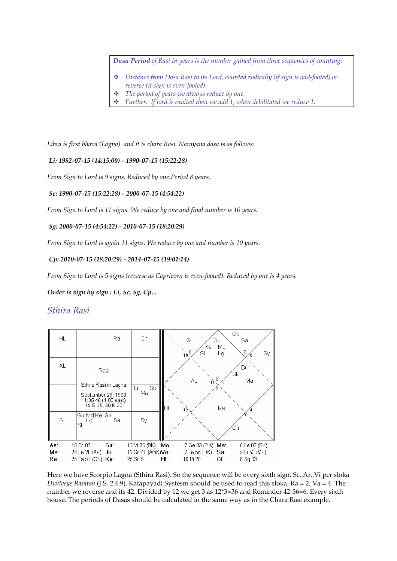Dasa Period of Rasi in years is the number gained from three sequences of counting:

- Distance from Dasa Rasi to its Lord, counted zodically (if sign is odd-footed) or reverse (if sign is even-footed).
- The period of years we always reduce by one.
- $\cdot \cdot$  Further: If lord is exalted then we add 1, when debilitated we reduce 1.

Libra is first bhava (Lagna) and it is chara Rasi. Narayana dasa is as follows:

Li: 1982-07-15 (14:15:00) - 1990-07-15 (15:22:28)

From Sign to Lord is 9 signs. Reduced by one.Period 8 years.

Sc: 1990-07-15 (15:22:28) - 2000-07-15 (4:54:22)

From Sign to Lord is 11 signs. We reduce by one and final number is 10 years.

#### Sg: 2000-07-15 (4:54:22) - 2010-07-15 (18:20:29)

From Sign to Lord is again 11 signs. We reduce by one and number is 10 years.

#### Cp: 2010-07-15 (18:20:29) - 2014-07-15 (19:01:14)

From Sign to Lord is 5 signs (reverse as Capricorn is even-footed). Reduced by one is 4 years.

Order is sign by sign : Li, Sc, Sg, Cp...

### Sthira Rasi

| HL                |                                                            | Ra.                                                                                    | Ch                                                            |     | GL<br>'Kel                                                           | Gu<br>Md | Gk<br>Sa<br>7                           |
|-------------------|------------------------------------------------------------|----------------------------------------------------------------------------------------|---------------------------------------------------------------|-----|----------------------------------------------------------------------|----------|-----------------------------------------|
| AL.               |                                                            | Rasi                                                                                   |                                                               |     | $10^{-9}$<br>SL                                                      | Lg       | Sy<br>Bu<br>΄Sk                         |
|                   |                                                            | Sthira Rasi in Lagna<br>September 29, 1983<br>11:35:46 (1:00 east)<br>19 E 25, 50 N 30 | Sk<br>lBu.<br>Ma                                              | НL  | AL                                                                   | 8<br>Ra  | Ma                                      |
| GL                | Gu Md Ke Gk<br>Lg<br>SL                                    | Sa.                                                                                    | Sy                                                            |     |                                                                      |          |                                         |
| As:<br>Me:<br>Ra: | 15 Sc 07<br>24 Le 28 (AK) <b>Ju</b> :<br>25 Ta 51 (GK) Ke: | Su:                                                                                    | 12 Vi 06 (BK) Mo:<br>12 Sc 48 (AmK) <b>Ve</b> : -<br>25 Sc 51 | HL: | 7 Ge 03 (PiK) Ma:<br>$2 \text{ Le } 56 \text{ (DK)}$ Sa:<br>10 Pi 20 | GL:      | 6 Le 02 (PK)<br>9 Li 53 (MK)<br>8 Sq 03 |

Here we have Scorpio Lagna (Sthira Rasi). So the sequence will be every sixth sign. Sc..Ar..Vi per sloka Dwiteeye Ravitah (J.S. 2.4.9). Katapayadi Systesm should be used to read this sloka. Ra = 2; Va = 4. The number we reverse and its 42. Divided by 12 we get 3 as 12\*3=36 and Reminder 42-36=6. Every sixth house. The periods of Dasas should be calculated in the same way as in the Chara Rasi example.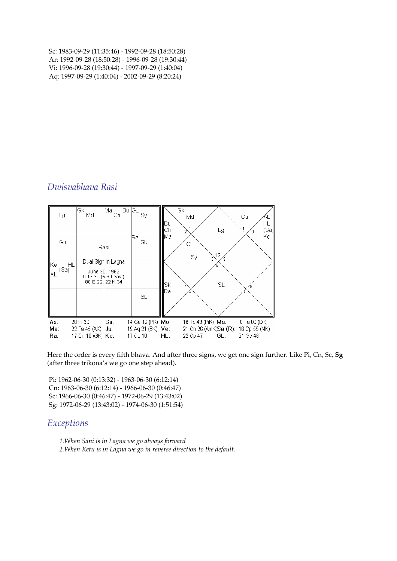Sc: 1983-09-29 (11:35:46) - 1992-09-28 (18:50:28) Ar: 1992-09-28 (18:50:28) - 1996-09-28 (19:30:44) Vi: 1996-09-28 (19:30:44) - 1997-09-29 (1:40:04) Aq: 1997-09-29 (1:40:04) - 2002-09-29 (8:20:24)

# Dwisvabhava Rasi

|                   | Lg                      | Gk<br>Md                                                   | ∣Ma⊦<br>Ch                                                           | $\overline{Bu}$ GL<br>Sy                                  | llBu<br>llCh. | Gk<br>Gu<br>Md<br>ΗL<br>11<br>(Sa]<br>Lg<br>10                                                                   |
|-------------------|-------------------------|------------------------------------------------------------|----------------------------------------------------------------------|-----------------------------------------------------------|---------------|------------------------------------------------------------------------------------------------------------------|
| llKe∶<br>IIAL     | Gu<br><b>HL</b><br>(Sa) | June 30, 1962                                              | Rasi<br>Dual Sign in Lagna<br>0:13:31(5:30 east)<br>88 E 22, 22 N 34 | lRa.<br>Sk                                                | llMa<br>∥Sk   | Kel<br>GL<br>12<br>Sy<br>SL.                                                                                     |
|                   |                         |                                                            |                                                                      | SL                                                        | llRa          |                                                                                                                  |
| As:<br>Me:<br>Ra: |                         | 28 Pi 30<br>22 Ta 45 (AK) <b>Ju</b> :<br>17 Cn 10 (GK) Ke: | Su:                                                                  | 14 Ge 12 (PK) <b>Mo:</b><br>19 Aq 21 (BK) Ve:<br>17 Cp 10 | HL:           | 16 Ta 43 (PiK) <b>Ma:</b><br>0 Ta 00 (DK)<br>21 Cn 26 (AmK, Sa (R): 16 Cp 55 (MK)<br>GL:<br>22 Cp 47<br>21 Ge 48 |

Here the order is every fifth bhava. And after three signs, we get one sign further. Like Pi, Cn, Sc, Sg (after three trikona's we go one step ahead).

 Pi: 1962-06-30 (0:13:32) - 1963-06-30 (6:12:14) Cn: 1963-06-30 (6:12:14) - 1966-06-30 (0:46:47) Sc: 1966-06-30 (0:46:47) - 1972-06-29 (13:43:02) Sg: 1972-06-29 (13:43:02) - 1974-06-30 (1:51:54)

## **Exceptions**

1.When Sani is in Lagna we go always forward 2.When Ketu is in Lagna we go in reverse direction to the default.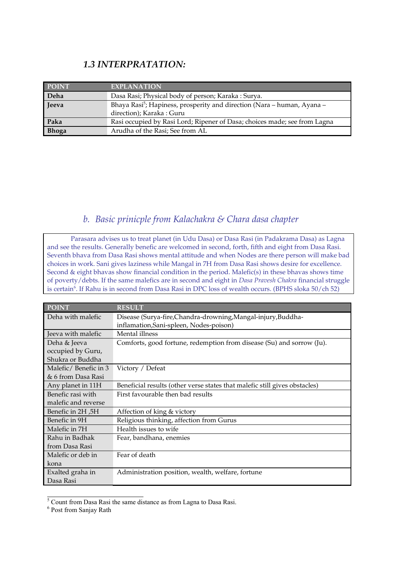# 1.3 INTERPRATATION:

| <b>POINT</b> | <b>EXPLANATION</b>                                                                                              |
|--------------|-----------------------------------------------------------------------------------------------------------------|
| Deha         | Dasa Rasi; Physical body of person; Karaka: Surya.                                                              |
| Jeeva        | Bhaya Rasi <sup>5</sup> ; Hapiness, prosperity and direction (Nara – human, Ayana –<br>direction); Karaka: Guru |
| Paka         | Rasi occupied by Rasi Lord; Ripener of Dasa; choices made; see from Lagna                                       |
| <b>Bhoga</b> | Arudha of the Rasi; See from AL                                                                                 |

# b. Basic prinicple from Kalachakra & Chara dasa chapter

Parasara advises us to treat planet (in Udu Dasa) or Dasa Rasi (in Padakrama Dasa) as Lagna and see the results. Generally benefic are welcomed in second, forth, fifth and eight from Dasa Rasi. Seventh bhava from Dasa Rasi shows mental attitude and when Nodes are there person will make bad choices in work. Sani gives laziness while Mangal in 7H from Dasa Rasi shows desire for excellence. Second & eight bhavas show financial condition in the period. Malefic(s) in these bhavas shows time of poverty/debts. If the same malefics are in second and eight in Dasa Pravesh Chakra financial struggle is certain<sup>6</sup>. If Rahu is in second from Dasa Rasi in DPC loss of wealth occurs. (BPHS sloka 50/ch 52)

| POINT                | <b>RESULT</b>                                                              |
|----------------------|----------------------------------------------------------------------------|
| Deha with malefic    | Disease (Surya-fire, Chandra-drowning, Mangal-injury, Buddha-              |
|                      | inflamation, Sani-spleen, Nodes-poison)                                    |
| Jeeva with malefic   | Mental illness                                                             |
| Deha & Jeeva         | Comforts, good fortune, redemption from disease (Su) and sorrow (Ju).      |
| occupied by Guru,    |                                                                            |
| Shukra or Buddha     |                                                                            |
| Malefic/Benefic in 3 | Victory / Defeat                                                           |
| & 6 from Dasa Rasi   |                                                                            |
| Any planet in 11H    | Beneficial results (other verse states that malefic still gives obstacles) |
| Benefic rasi with    | First favourable then bad results                                          |
| malefic and reverse  |                                                                            |
| Benefic in 2H, 5H    | Affection of king & victory                                                |
| Benefic in 9H        | Religious thinking, affection from Gurus                                   |
| Malefic in 7H        | Health issues to wife                                                      |
| Rahu in Badhak       | Fear, bandhana, enemies                                                    |
| from Dasa Rasi       |                                                                            |
| Malefic or deb in    | Fear of death                                                              |
| kona                 |                                                                            |
| Exalted graha in     | Administration position, wealth, welfare, fortune                          |
| Dasa Rasi            |                                                                            |

 $\frac{5}{5}$  Count from Dasa Rasi the same distance as from Lagna to Dasa Rasi.

<sup>6</sup> Post from Sanjay Rath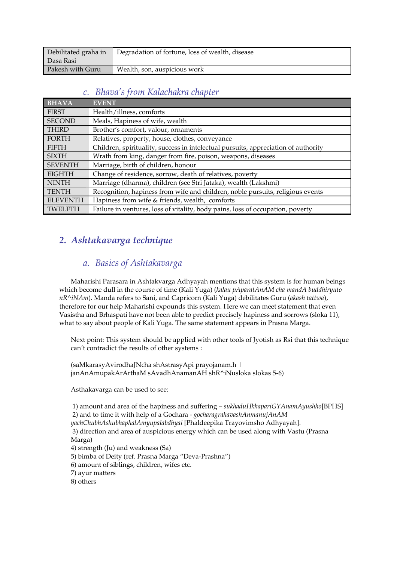| Debilitated graha in | Degradation of fortune, loss of wealth, disease |
|----------------------|-------------------------------------------------|
| Dasa Rasi            |                                                 |
| Pakesh with Guru     | Wealth, son, auspicious work                    |

## c. Bhava's from Kalachakra chapter

| <b>BHAVA</b>    | <b>EVENT</b>                                                                       |
|-----------------|------------------------------------------------------------------------------------|
| <b>FIRST</b>    | Health/illness, comforts                                                           |
| <b>SECOND</b>   | Meals, Hapiness of wife, wealth                                                    |
| <b>THIRD</b>    | Brother's comfort, valour, ornaments                                               |
| <b>FORTH</b>    | Relatives, property, house, clothes, conveyance                                    |
| <b>FIFTH</b>    | Children, spirituality, success in intelectual pursuits, appreciation of authority |
| <b>SIXTH</b>    | Wrath from king, danger from fire, poison, weapons, diseases                       |
| <b>SEVENTH</b>  | Marriage, birth of children, honour                                                |
| <b>EIGHTH</b>   | Change of residence, sorrow, death of relatives, poverty                           |
| <b>NINTH</b>    | Marriage (dharma), children (see Stri Jataka), wealth (Lakshmi)                    |
| <b>TENTH</b>    | Recognition, hapiness from wife and children, noble pursuits, religious events     |
| <b>ELEVENTH</b> | Hapiness from wife & friends, wealth, comforts                                     |
| TWELFTH         | Failure in ventures, loss of vitality, body pains, loss of occupation, poverty     |

# 2. Ashtakavarga technique

# a. Basics of Ashtakavarga

Maharishi Parasara in Ashtakvarga Adhyayah mentions that this system is for human beings which become dull in the course of time (Kali Yuga) (kalau pAparatAnAM cha mandA buddhiryuto nR^iNAm). Manda refers to Sani, and Capricorn (Kali Yuga) debilitates Guru (akash tattwa), therefore for our help Maharishi expounds this system. Here we can meet statement that even Vasistha and Brhaspati have not been able to predict precisely hapiness and sorrows (sloka 11), what to say about people of Kali Yuga. The same statement appears in Prasna Marga.

Next point: This system should be applied with other tools of Jyotish as Rsi that this technique can't contradict the results of other systems :

(saMkarasyAvirodhaJNcha shAstrasyApi prayojanam.h | janAnAmupakArArthaM sAvadhAnamanAH shR^iNusloka slokas 5-6)

#### Asthakavarga can be used to see:

1) amount and area of the hapiness and suffering – sukhaduHkhapariGYAnamAyushho[BPHS] 2) and to time it with help of a Gochara - gocharagrahavashAnmanujAnAM

yachChubhAshubhaphalAmyupalabdhyai [Phaldeepika Trayovimsho Adhyayah].

 3) direction and area of auspicious energy which can be used along with Vastu (Prasna Marga)

- 4) strength (Ju) and weakness (Sa)
- 5) bimba of Deity (ref. Prasna Marga "Deva-Prashna")
- 6) amount of siblings, children, wifes etc.
- 7) ayur matters
- 8) others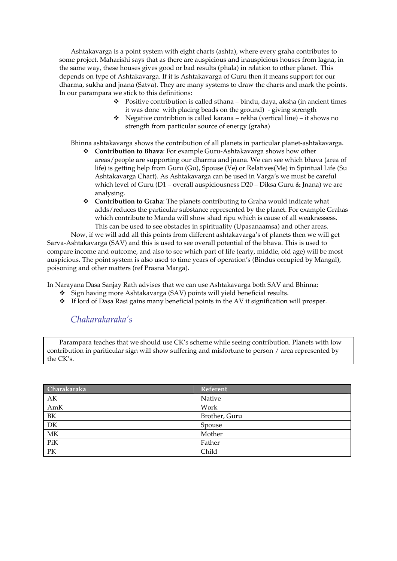Ashtakavarga is a point system with eight charts (ashta), where every graha contributes to some project. Maharishi says that as there are auspicious and inauspicious houses from lagna, in the same way, these houses gives good or bad results (phala) in relation to other planet. This depends on type of Ashtakavarga. If it is Ashtakavarga of Guru then it means support for our dharma, sukha and jnana (Satva). They are many systems to draw the charts and mark the points. In our parampara we stick to this definitions:

- $\bullet$  Positive contribution is called sthana bindu, daya, aksha (in ancient times it was done with placing beads on the ground) - giving strength
- Negative contribtion is called karana rekha (vertical line) it shows no strength from particular source of energy (graha)

Bhinna ashtakavarga shows the contribution of all planets in particular planet-ashtakavarga.

- Contribution to Bhava: For example Guru-Ashtakavarga shows how other areas/people are supporting our dharma and jnana. We can see which bhava (area of life) is getting help from Guru (Gu), Spouse (Ve) or Relatives(Me) in Spiritual Life (Su Ashtakavarga Chart). As Ashtakavarga can be used in Varga's we must be careful which level of Guru (D1 – overall auspiciousness D20 – Diksa Guru & Jnana) we are analysing.
- Contribution to Graha: The planets contributing to Graha would indicate what adds/reduces the particular substance represented by the planet. For example Grahas which contribute to Manda will show shad ripu which is cause of all weaknessess. This can be used to see obstacles in spirituality (Upasanaamsa) and other areas.

Now, if we will add all this points from different ashtakavarga's of planets then we will get Sarva-Ashtakavarga (SAV) and this is used to see overall potential of the bhava. This is used to compare income and outcome, and also to see which part of life (early, middle, old age) will be most auspicious. The point system is also used to time years of operation's (Bindus occupied by Mangal), poisoning and other matters (ref Prasna Marga).

In Narayana Dasa Sanjay Rath advises that we can use Ashtakavarga both SAV and Bhinna:

- Sign having more Ashtakavarga (SAV) points will yield beneficial results.
- If lord of Dasa Rasi gains many beneficial points in the AV it signification will prosper.

# Chakarakaraka's

Parampara teaches that we should use CK's scheme while seeing contribution. Planets with low contribution in pariticular sign will show suffering and misfortune to person / area represented by the CK's.

| Charakaraka | Referent      |
|-------------|---------------|
| AK          | Native        |
| AmK         | Work          |
| $\rm BK$    | Brother, Guru |
| DK          | Spouse        |
| MK          | Mother        |
| PiK         | Father        |
| PK          | Child         |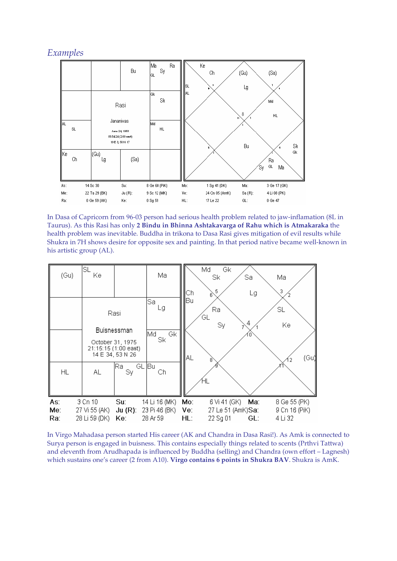## Examples



In Dasa of Capricorn from 96-03 person had serious health problem related to jaw-inflamation (8L in Taurus). As this Rasi has only 2 Bindu in Bhinna Ashtakavarga of Rahu which is Atmakaraka the health problem was inevitable. Buddha in trikona to Dasa Rasi gives mitigation of evil results while Shukra in 7H shows desire for opposite sex and painting. In that period native became well-known in his artistic group (AL).

| (Gu)              | SL<br>Ke                                  |                                                       | Ma                                         | Сh                   | Md<br>Gk<br>Sk<br>Sa<br>5<br>Lg<br>6                        | Ma<br>3                                  |
|-------------------|-------------------------------------------|-------------------------------------------------------|--------------------------------------------|----------------------|-------------------------------------------------------------|------------------------------------------|
|                   |                                           | Rasi<br>Buisnessman<br>October 31, 1975               | Sal<br>Lg<br>Gk<br>Md.<br>Sk               | Bu                   | Ra<br>GL<br>4<br>Sy<br>O                                    | SL<br>Ke                                 |
| HL                | AL.                                       | 21:15:15 (1:00 east)<br>14 E 34, 53 N 26<br>lRa<br>Sy | GL Bu<br>Ch                                | AL                   | 8                                                           | (Gu∥                                     |
| As:<br>Me:<br>Ra: | 3 Cn 10<br>27 Vi 55 (AK)<br>28 Li 59 (DK) | Su:<br>$Ju(R)$ :<br>Ke:                               | 14 Li 16 (MK)<br>23 Pi 46 (BK)<br>28 Ar 59 | Mo:<br>Ve:<br>$HL$ : | 6 Vi 41 (GK)<br>Ma:<br>27 Le 51 (AmK)Sa:<br>22 Sg 01<br>GL: | 8 Ge 55 (PK)<br>9 Cn 16 (PiK)<br>4 Li 32 |

In Virgo Mahadasa person started His career (AK and Chandra in Dasa Rasi!). As Amk is connected to Surya person is engaged in buisness. This contains especially things related to scents (Prthvi Tattwa) and eleventh from Arudhapada is influenced by Buddha (selling) and Chandra (own effort – Lagnesh) which sustains one's career (2 from A10). Virgo contains 6 points in Shukra BAV. Shukra is AmK.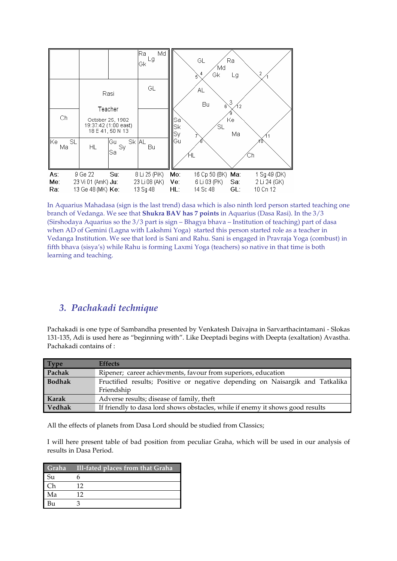

In Aquarius Mahadasa (sign is the last trend) dasa which is also ninth lord person started teaching one branch of Vedanga. We see that Shukra BAV has 7 points in Aquarius (Dasa Rasi). In the 3/3 (Sirshodaya Aquarius so the 3/3 part is sign – Bhagya bhava – Institution of teaching) part of dasa when AD of Gemini (Lagna with Lakshmi Yoga) started this person started role as a teacher in Vedanga Institution. We see that lord is Sani and Rahu. Sani is engaged in Pravraja Yoga (combust) in fifth bhava (sisya's) while Rahu is forming Laxmi Yoga (teachers) so native in that time is both learning and teaching.

# 3. Pachakadi technique

Pachakadi is one type of Sambandha presented by Venkatesh Daivajna in Sarvarthacintamani - Slokas 131-135, Adi is used here as "beginning with". Like Deeptadi begins with Deepta (exaltation) Avastha. Pachakadi contains of :

| <b>Type</b> | <b>Effects</b>                                                                              |  |
|-------------|---------------------------------------------------------------------------------------------|--|
| Pachak      | Ripener; career achievments, favour from superiors, education                               |  |
| Bodhak      | Fructified results; Positive or negative depending on Naisargik and Tatkalika<br>Friendship |  |
| Karak       | Adverse results; disease of family, theft                                                   |  |
| Vedhak      | If friendly to dasa lord shows obstacles, while if enemy it shows good results              |  |

All the effects of planets from Dasa Lord should be studied from Classics;

I will here present table of bad position from peculiar Graha, which will be used in our analysis of results in Dasa Period.

| Graha     | Ill-fated places from that Graha |
|-----------|----------------------------------|
| <b>Su</b> |                                  |
|           | 12                               |
| Ma        | 12                               |
| В11       |                                  |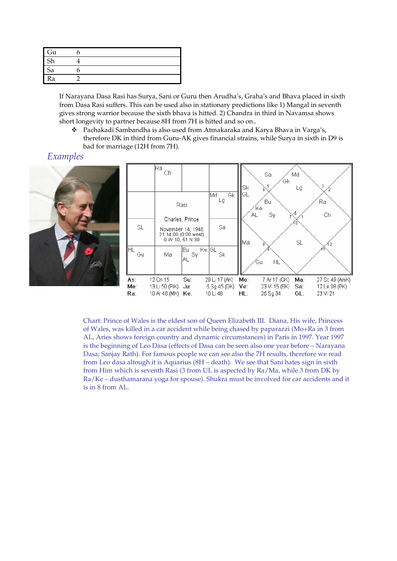| п<br>Gu |  |
|---------|--|
| Sh      |  |
| Sa<br>ı |  |
| Ra      |  |

If Narayana Dasa Rasi has Surya, Sani or Guru then Arudha's, Graha's and Bhava placed in sixth from Dasa Rasi suffers. This can be used also in stationary predictions like 1) Mangal in seventh gives strong warrior because the sixth bhava is hitted. 2) Chandra in third in Navamsa shows short longevity to partner because 8H from 7H is hitted and so on..

\* Pachakadi Sambandha is also used from Atmakaraka and Karya Bhava in Varga's, therefore DK in third from Guru-AK gives financial strains, while Surya in sixth in D9 is bad for marriage (12H from 7H).

# Examples





Chart: Prince of Wales is the eldest son of Queen Elizabeth III. Diana, His wife, Princess of Wales, was killed in a car accident while being chased by paparazzi (Mo+Ra in 3 from AL, Aries shows foreign country and dynamic circumstances) in Paris in 1997. Year 1997 is the beginning of Leo Dasa (effects of Dasa can be seen also one year before – Narayana Dasa; Sanjay Rath). For famous people we can see also the 7H results, therefore we read from Leo dasa altough it is Aquarius (8H – death). We see that Sani hates sign in sixth from Him which is seventh Rasi (3 from UL is aspected by Ra/Ma, while 3 from DK by Ra/Ke – dusthamarana yoga for spouse). Shukra must be involved for car accidents and it is in 8 from AL.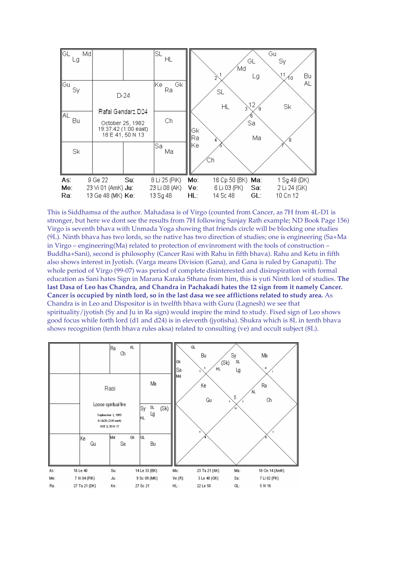

This is Siddhamsa of the author. Mahadasa is of Virgo (counted from Cancer, as 7H from 4L-D1 is stronger, but here we dont see the results from 7H following Sanjay Rath example; ND Book Page 156) Virgo is seventh bhava with Unmada Yoga showing that friends circle will be blocking one studies (9L). Ninth bhava has two lords, so the native has two direction of studies; one is engineering (Sa+Ma in Virgo – engineering(Ma) related to protection of envinroment with the tools of construction – Buddha+Sani), second is philosophy (Cancer Rasi with Rahu in fifth bhava). Rahu and Ketu in fifth also shows interest in Jyotish. (Varga means Division (Gana), and Gana is ruled by Ganapati). The whole period of Virgo (99-07) was period of complete disinterested and disinspiration with formal education as Sani hates Sign in Marana Karaka Sthana from him, this is yuti Ninth lord of studies. The last Dasa of Leo has Chandra, and Chandra in Pachakadi hates the 12 sign from it namely Cancer. Cancer is occupied by ninth lord, so in the last dasa we see afflictions related to study area. As Chandra is in Leo and Dispositor is in twelfth bhava with Guru (Lagnesh) we see that spirituality/jyotish (Sy and Ju in Ra sign) would inspire the mind to study. Fixed sign of Leo shows good focus while forth lord (d1 and d24) is in eleventh (jyotisha). Shukra which is 8L in tenth bhava shows recognition (tenth bhava rules aksa) related to consulting (ve) and occult subject (8L).

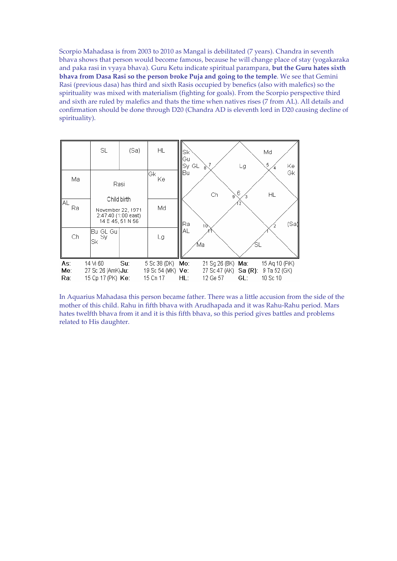Scorpio Mahadasa is from 2003 to 2010 as Mangal is debilitated (7 years). Chandra in seventh bhava shows that person would become famous, because he will change place of stay (yogakaraka and paka rasi in vyaya bhava). Guru Ketu indicate spiritual parampara, but the Guru hates sixth bhava from Dasa Rasi so the person broke Puja and going to the temple. We see that Gemini Rasi (previous dasa) has third and sixth Rasis occupied by benefics (also with malefics) so the spirituality was mixed with materialism (fighting for goals). From the Scorpio perspective third and sixth are ruled by malefics and thats the time when natives rises (7 from AL). All details and confirmation should be done through D20 (Chandra AD is eleventh lord in D20 causing decline of spirituality).



In Aquarius Mahadasa this person became father. There was a little accusion from the side of the mother of this child. Rahu in fifth bhava with Arudhapada and it was Rahu-Rahu period. Mars hates twelfth bhava from it and it is this fifth bhava, so this period gives battles and problems related to His daughter.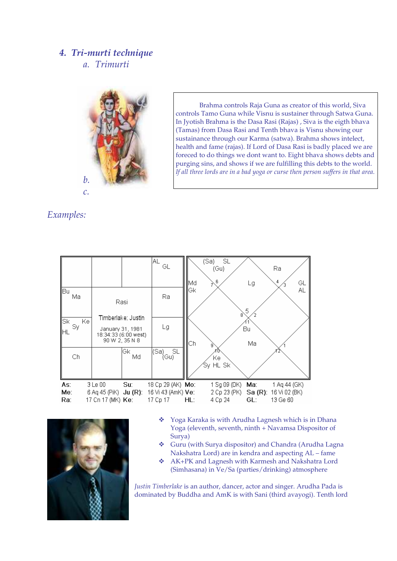# 4. Tri-murti technique a. Trimurti



Brahma controls Raja Guna as creator of this world, Siva controls Tamo Guna while Visnu is sustainer through Satwa Guna. In Jyotish Brahma is the Dasa Rasi (Rajas) , Siva is the eigth bhava (Tamas) from Dasa Rasi and Tenth bhava is Visnu showing our sustainance through our Karma (satwa). Brahma shows intelect, health and fame (rajas). If Lord of Dasa Rasi is badly placed we are foreced to do things we dont want to. Eight bhava shows debts and purging sins, and shows if we are fulfilling this debts to the world. If all three lords are in a bad yoga or curse then person suffers in that area.

# Examples:





- \* Yoga Karaka is with Arudha Lagnesh which is in Dhana Yoga (eleventh, seventh, ninth + Navamsa Dispositor of Surya)
- Guru (with Surya dispositor) and Chandra (Arudha Lagna Nakshatra Lord) are in kendra and aspecting AL – fame
- AK+PK and Lagnesh with Karmesh and Nakshatra Lord (Simhasana) in Ve/Sa (parties/drinking) atmosphere

Justin Timberlake is an author, dancer, actor and singer. Arudha Pada is dominated by Buddha and AmK is with Sani (third avayogi). Tenth lord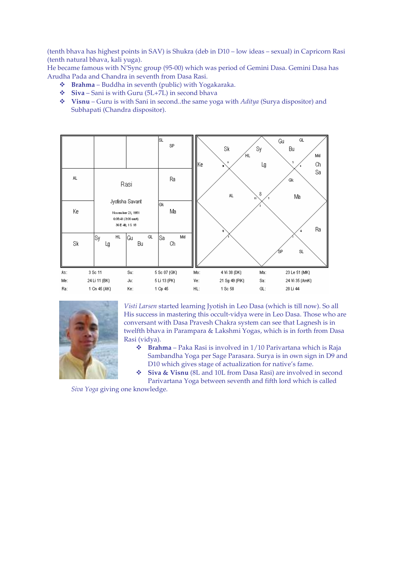(tenth bhava has highest points in SAV) is Shukra (deb in D10 – low ideas – sexual) in Capricorn Rasi (tenth natural bhava, kali yuga).

He became famous with N'Sync group (95-00) which was period of Gemini Dasa. Gemini Dasa has Arudha Pada and Chandra in seventh from Dasa Rasi.

- $\bullet$  Brahma Buddha in seventh (public) with Yogakaraka.
- $\div$  Siva Sani is with Guru (5L+7L) in second bhava
- $\bullet$  Visnu Guru is with Sani in second..the same yoga with *Aditya* (Surya dispositor) and Subhapati (Chandra dispositor).





Visti Larsen started learning Jyotish in Leo Dasa (which is till now). So all His success in mastering this occult-vidya were in Leo Dasa. Those who are conversant with Dasa Pravesh Chakra system can see that Lagnesh is in twelfth bhava in Parampara & Lakshmi Yogas, which is in forth from Dasa Rasi (vidya).

- $\bullet$  Brahma Paka Rasi is involved in 1/10 Parivartana which is Raja Sambandha Yoga per Sage Parasara. Surya is in own sign in D9 and D10 which gives stage of actualization for native's fame.
- Siva & Visnu (8L and 10L from Dasa Rasi) are involved in second Parivartana Yoga between seventh and fifth lord which is called

Siva Yoga giving one knowledge.